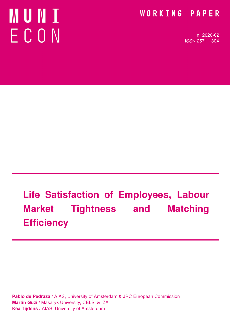# MUNI ECON

### WORKING PAPER

n. 2020-02 ISSN 2571-130X

# Life Satisfaction of Employees, Labour Market Tightness and Matching **Efficiency**

Pablo de Pedraza / AIAS, University of Amsterdam & JRC European Commission Martin Guzi / Masaryk University, CELSI & IZA Kea Tijdens / AIAS, University of Amsterdam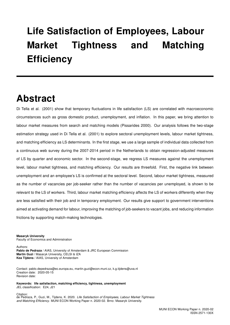## Life Satisfaction of Employees, Labour Market Tightness and Matching **Efficiency**

### Abstract

Di Tella et al. (2001) show that temporary fluctuations in life satisfaction (LS) are correlated with macroeconomic circumstances such as gross domestic product, unemployment, and inflation. In this paper, we bring attention to labour market measures from search and matching models (Pissarides 2000). Our analysis follows the two-stage estimation strategy used in Di Tella et al. (2001) to explore sectoral unemployment levels, labour market tightness, and matching efficiency as LS determinants. In the first stage, we use a large sample of individual data collected from a continuous web survey during the 2007-2014 period in the Netherlands to obtain regression-adjusted measures of LS by quarter and economic sector. In the second-stage, we regress LS measures against the unemployment level, labour market tightness, and matching efficiency. Our results are threefold. First, the negative link between unemployment and an employee's LS is confirmed at the sectoral level. Second, labour market tightness, measured as the number of vacancies per job-seeker rather than the number of vacancies per unemployed, is shown to be relevant to the LS of workers. Third, labour market matching efficiency affects the LS of workers differently when they are less satisfied with their job and in temporary employment. Our results give support to government interventions aimed at activating demand for labour, improving the matching of job-seekers to vacant jobs, and reducing information frictions by supporting match-making technologies.

#### Masaryk University

Faculty of Economics and Administration

Authors:

Pablo de Pedraza / AIAS, University of Amsterdam & JRC European Commission Martin Guzi / Masaryk University, CELSI & IZA Kea Tijdens / AIAS, University of Amsterdam

Contact: pablo.depedraza@ec.europa.eu, martin.guzi@econ.muni.cz, k.g.tijdens@uva.nl Creation date: 2020-05-15 Revision date:

Keywords: life satisfaction, matching efficiency, tightness, unemployment JEL classification: E24, J21

#### Citation:<br>de Pedraza, P., Guzi, M., Tijdens, K. 2020. *Life Satisfaction of Employees, Labour Market Tightness* and Matching Efficiency. MUNI ECON Working Paper n. 2020-02. Brno: Masaryk University.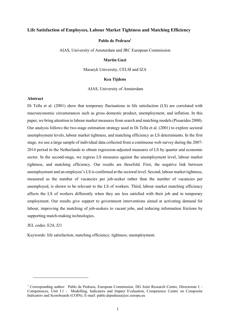#### Life Satisfaction of Employees, Labour Market Tightness and Matching Efficiency

#### Pablo de Pedraza<sup>1</sup>

AIAS, University of Amsterdam and JRC European Commission

#### Martin Guzi

Masaryk University, CELSI and IZA

#### Kea Tijdens

AIAS, University of Amsterdam

#### Abstract

Di Tella et al. (2001) show that temporary fluctuations in life satisfaction (LS) are correlated with macroeconomic circumstances such as gross domestic product, unemployment, and inflation. In this paper, we bring attention to labour market measures from search and matching models (Pissarides 2000). Our analysis follows the two-stage estimation strategy used in Di Tella et al. (2001) to explore sectoral unemployment levels, labour market tightness, and matching efficiency as LS determinants. In the first stage, we use a large sample of individual data collected from a continuous web survey during the 2007- 2014 period in the Netherlands to obtain regression-adjusted measures of LS by quarter and economic sector. In the second-stage, we regress LS measures against the unemployment level, labour market tightness, and matching efficiency. Our results are threefold. First, the negative link between unemployment and an employee's LS is confirmed at the sectoral level. Second, labour market tightness, measured as the number of vacancies per job-seeker rather than the number of vacancies per unemployed, is shown to be relevant to the LS of workers. Third, labour market matching efficiency affects the LS of workers differently when they are less satisfied with their job and in temporary employment. Our results give support to government interventions aimed at activating demand for labour, improving the matching of job-seekers to vacant jobs, and reducing information frictions by supporting match-making technologies.

JEL codes: E24, J21

Keywords: life satisfaction; matching efficiency; tightness; unemployment.

<sup>&</sup>lt;sup>1</sup> Corresponding author: Pablo de Pedraza, European Commission, DG Joint Research Centre, Directorate I -Competences, Unit I.1 - Modelling, Indicators and Impact Evaluation, Competence Centre on Composite Indicators and Scoreboards (COIN), E-mail: pablo.depedraza@ec.europa.eu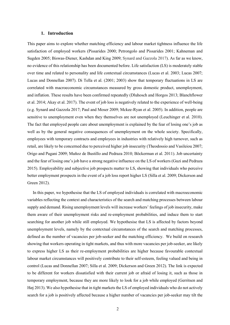#### 1. Introduction

This paper aims to explore whether matching efficiency and labour market tightness influence the life satisfaction of employed workers (Pissarides 2000; Petrongolo and Pissarides 2001; Kahneman and Sugden 2005; Biswas-Diener, Kashdan and King 2009; Synard and Gazzola 2017). As far as we know, no evidence of this relationship has been documented before. Life satisfaction (LS) is moderately stable over time and related to personality and life contextual circumstances (Lucas et al. 2003; Lucas 2007; Lucas and Donnellan 2007). Di Tella et al. (2001; 2003) show that temporary fluctuations in LS are correlated with macroeconomic circumstances measured by gross domestic product, unemployment, and inflation. These results have been confirmed repeatedly (Dluhosch and Horgos 2013; Blanchflower et al. 2014; Akay et al. 2017). The event of job loss is negatively related to the experience of well-being (e.g. Synard and Gazzola 2017; Paul and Moser 2009; Mckee-Ryan et al. 2005). In addition, people are sensitive to unemployment even when they themselves are not unemployed (Leuchinger et al. 2010). The fact that employed people care about unemployment is explained by the fear of losing one's job as well as by the general negative consequences of unemployment on the whole society. Specifically, employees with temporary contracts and employees in industries with relatively high turnover, such as retail, are likely to be concerned due to perceived higher job insecurity (Theodossio and Vasileiou 2007; Origo and Pagani 2009; Muñoz de Bustillo and Pedraza 2010; Böckerman et al. 2011). Job uncertainty and the fear of losing one's job have a strong negative influence on the LS of workers (Guzi and Pedraza 2015). Employability and subjective job prospects matter to LS, showing that individuals who perceive better employment prospects in the event of a job loss report higher LS (Silla et al. 2009; Dickerson and Green 2012).

In this paper, we hypothesise that the LS of employed individuals is correlated with macroeconomic variables reflecting the context and characteristics of the search and matching processes between labour supply and demand. Rising unemployment levels will increase workers' feelings of job insecurity, make them aware of their unemployment risks and re-employment probabilities, and induce them to start searching for another job while still employed. We hypothesise that LS is affected by factors beyond unemployment levels, namely by the contextual circumstances of the search and matching processes, defined as the number of vacancies per job-seeker and the matching efficiency. We build on research showing that workers operating in tight markets, and thus with more vacancies per job-seeker, are likely to express higher LS as their re-employment probabilities are higher because favourable contextual labour market circumstances will positively contribute to their self-esteem, feeling valued and being in control (Lucas and Donnellan 2007; Silla et al. 2009; Dickerson and Green 2012). The link is expected to be different for workers dissatisfied with their current job or afraid of losing it, such as those in temporary employment, because they are more likely to look for a job while employed (Gerritsen and Høj 2013). We also hypothesise that in tight markets the LS of employed individuals who do not actively search for a job is positively affected because a higher number of vacancies per job-seeker may tilt the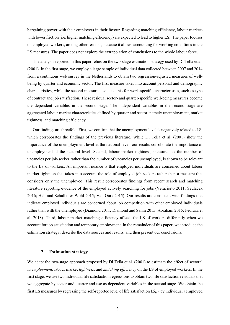bargaining power with their employers in their favour. Regarding matching efficiency, labour markets with lower friction (i.e. higher matching efficiency) are expected to lead to higher LS. The paper focuses on employed workers, among other reasons, because it allows accounting for working conditions in the LS measures. The paper does not explore the extrapolation of conclusions to the whole labour force.

The analysis reported in this paper relies on the two-stage estimation strategy used by Di Tella et al. (2001). In the first stage, we employ a large sample of individual data collected between 2007 and 2014 from a continuous web survey in the Netherlands to obtain two regression-adjusted measures of wellbeing by quarter and economic sector. The first measure takes into account personal and demographic characteristics, while the second measure also accounts for work-specific characteristics, such as type of contract and job satisfaction. These residual sector- and quarter-specific well-being measures become the dependent variables in the second stage. The independent variables in the second stage are aggregated labour market characteristics defined by quarter and sector, namely unemployment, market tightness, and matching efficiency.

Our findings are threefold. First, we confirm that the unemployment level is negatively related to LS, which corroborates the findings of the previous literature. While Di Tella et al. (2001) show the importance of the unemployment level at the national level, our results corroborate the importance of unemployment at the sectoral level. Second, labour market tightness, measured as the number of vacancies per job-seeker rather than the number of vacancies per unemployed, is shown to be relevant to the LS of workers. An important nuance is that employed individuals are concerned about labour market tightness that takes into account the role of employed job seekers rather than a measure that considers only the unemployed. This result corroborates findings from recent search and matching literature reporting evidence of the employed actively searching for jobs (Veracierto 2011; Sedláček 2016; Hall and Schulhofer-Wohl 2015; Van Ours 2015). Our results are consistent with findings that indicate employed individuals are concerned about job competition with other employed individuals rather than with the unemployed (Diamond 2011; Diamond and Sahin 2015; Abraham 2015; Pedraza et al. 2018). Third, labour market matching efficiency affects the LS of workers differently when we account for job satisfaction and temporary employment. In the remainder of this paper, we introduce the estimation strategy, describe the data sources and results, and then present our conclusions.

#### 2. Estimation strategy

We adapt the two-stage approach proposed by Di Tella et al. (2001) to estimate the effect of sectoral unemployment, labour market tightness, and matching efficiency on the LS of employed workers. In the first stage, we use two individual life satisfaction regressions to obtain two life satisfaction residuals that we aggregate by sector and quarter and use as dependent variables in the second stage. We obtain the first LS measures by regressing the self-reported level of life satisfaction  $LS_{ist}$  by individual *i* employed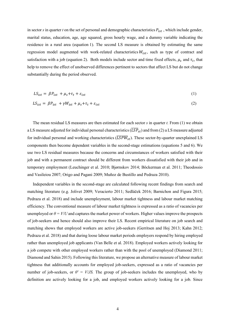in sector s in quarter t on the set of personal and demographic characteristics  $P_{ist}$ , which include gender, marital status, education, age, age squared, gross hourly wage, and a dummy variable indicating the residence in a rural area (equation 1). The second LS measure is obtained by estimating the same regression model augmented with work-related characteristics  $W_{ist}$ , such as type of contract and satisfaction with a job (equation 2). Both models include sector and time fixed effects,  $\mu_s$  and  $\tau_t$ , that help to remove the effect of unobserved differences pertinent to sectors that affect LS but do not change substantially during the period observed.

$$
LS_{ist} = \beta P_{ist} + \mu_s + \tau_t + \varepsilon_{ist} \tag{1}
$$

$$
LS_{ist} = \beta P_{ist} + \gamma W_{ist} + \mu_s + \tau_t + \varepsilon_{ist}
$$
 (2)

The mean residual LS measures are then estimated for each sector  $s$  in quarter  $t$ . From  $(1)$  we obtain a LS measure adjusted for individual personal characteristics  $(\overline{LSP}_{st})$  and from (2) a LS measure adjusted for individual personal and working characteristics ( $\overline{LSPW}_{st}$ ). These sector-by-quarter unexplained LS components then become dependent variables in the second-stage estimations (equations 5 and 6). We use two LS residual measures because the concerns and circumstances of workers satisfied with their job and with a permanent contract should be different from workers dissatisfied with their job and in temporary employment (Leuchinger et al. 2010; Bjørnskov 2014; Böckerman et al. 2011; Theodossio and Vasileiou 2007; Origo and Pagani 2009; Muñoz de Bustillo and Pedraza 2010).

Independent variables in the second-stage are calculated following recent findings from search and matching literature (e.g. Jolivet 2009; Veracierto 2011; Sedláček 2016; Barnichon and Figura 2015; Pedraza et al. 2018) and include unemployment, labour market tightness and labour market matching efficiency. The conventional measure of labour market tightness is expressed as a ratio of vacancies per unemployed or  $\theta = V/U$  and captures the market power of workers. Higher values improve the prospects of job-seekers and hence should also improve their LS. Recent empirical literature on job search and matching shows that employed workers are active job-seekers (Gerritsen and Hoj 2013; Kahn 2012; Pedraza et al. 2018) and that during loose labour market periods employers respond by hiring employed rather than unemployed job applicants (Van Belle et al. 2018). Employed workers actively looking for a job compete with other employed workers rather than with the pool of unemployed (Diamond 2011; Diamond and Sahin 2015). Following this literature, we propose an alternative measure of labour market tightness that additionally accounts for employed job-seekers, expressed as a ratio of vacancies per number of job-seekers, or  $\theta' = V/JS$ . The group of job-seekers includes the unemployed, who by definition are actively looking for a job, and employed workers actively looking for a job. Since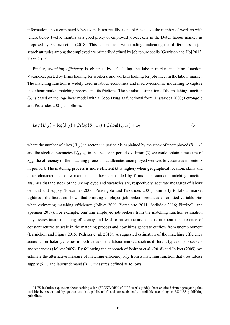information about employed job-seekers is not readily available<sup>2</sup>, we take the number of workers with tenure below twelve months as a good proxy of employed job-seekers in the Dutch labour market, as proposed by Pedraza et al. (2018). This is consistent with findings indicating that differences in job search attitudes among the employed are primarily defined by job tenure spells (Gerritsen and Hoj 2013; Kahn 2012).

Finally, *matching efficiency* is obtained by calculating the labour market matching function. Vacancies, posted by firms looking for workers, and workers looking for jobs meet in the labour market. The matching function is widely used in labour economics and macro-economic modelling to capture the labour market matching process and its frictions. The standard estimation of the matching function (3) is based on the log-linear model with a Cobb Douglas functional form (Pissarides 2000; Petrongolo and Pissarides 2001) as follows:

$$
Log (Hs,t) = log(\lambdas,t) + \beta_1 log(Us,t-1) + \beta_2 log(Vs,t-1) + \omega_t
$$
\n(3)

where the number of hires  $(H_{s,t})$  in sector s in period t is explained by the stock of unemployed  $(U_{s,t-1})$ and the stock of vacancies  $(V_{s,t-1})$  in that sector in period t-1. From (3) we could obtain a measure of  $\lambda_{s,t}$ , the efficiency of the matching process that allocates unemployed workers to vacancies in sector s in period t. The matching process is more efficient ( $\lambda$  is higher) when geographical location, skills and other characteristics of workers match those demanded by firms. The standard matching function assumes that the stock of the unemployed and vacancies are, respectively, accurate measures of labour demand and supply (Pissarides 2000; Petrongolo and Pissarides 2001). Similarly to labour market tightness, the literature shows that omitting employed job-seekers produces an omitted variable bias when estimating matching efficiency (Jolivet 2009; Veracierto 2011; Sedláček 2016; Pizzinelli and Speigner 2017). For example, omitting employed job-seekers from the matching function estimation may overestimate matching efficiency and lead to an erroneous conclusion about the presence of constant returns to scale in the matching process and how hires generate outflow from unemployment (Barnichon and Figura 2015; Pedraza et al. 2018). A suggested estimation of the matching efficiency accounts for heterogeneities in both sides of the labour market, such as different types of job-seekers and vacancies (Jolivet 2009). By following the approach of Pedraza et al. (2018) and Jolivet (2009), we estimate the alternative measure of matching efficiency  $\lambda'_{s,t}$  from a matching function that uses labour supply  $(S_{s,t})$  and labour demand  $(D_{s,t})$  measures defined as follows:

<sup>&</sup>lt;sup>2</sup> LFS includes a question about seeking a job (SEEKWORK cf. LFS user's guide). Data obtained from aggregating that variable by sector and by quarter are "not publishable" and are statistically unreliable according to EU-LFS publishing guidelines.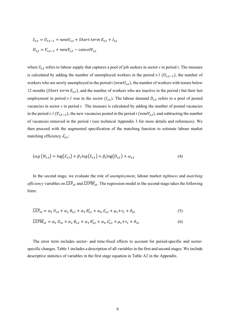$$
S_{s,t} = U_{s,t-1} + newU_{s,t} + Short \ term E_{s,t} + I_{s,t}
$$

$$
D_{s,t} = V_{s,t-1} + newV_{s,t} - cancelV_{s,t}
$$

where  $S_{s,t}$  refers to labour supply that captures a pool of job seekers in sector s in period t. The measure is calculated by adding the number of unemployed workers in the period t-1  $(U_{s,t-1})$ , the number of workers who are newly unemployed in the period t ( $newU_{s,t}$ ), the number of workers with tenure below 12 months (*Short term*  $E_{s,t}$ ), and the number of workers who are inactive in the period t but their last employment in period  $t$ -*l* was in the sector  $(I_{s,t})$ . The labour demand  $D_{s,t}$  refers to a pool of posted vacancies in sector  $s$  in period  $t$ . The measure is calculated by adding the number of posted vacancies in the period t-1 ( $V_{s,t-1}$ ), the new vacancies posted in the period t (new $V_{s,t}$ ), and subtracting the number of vacancies removed in the period  $t$  (see technical Appendix 3 for more details and references). We then proceed with the augmented specification of the matching function to estimate labour market matching efficiency  $\lambda'_{s,t}$ :

$$
Log(H_{s,t}) = log(\lambda'_{s,t}) + \beta_1 log(S_{s,t}) + \beta_2 log(D_{s,t}) + \omega_{s,t}
$$
\n(4)

In the second stage, we evaluate the role of *unemployment*, labour market *tightness* and *matching efficiency* variables on  $\overline{LSP}_{st}$  and  $\overline{LSPW}_{st}$ . The regression model in the second-stage takes the following form:

$$
\overline{LSP}_{st} = \alpha_1 U_{st} + \alpha_2 \theta_{s,t} + \alpha_3 \theta'_{s,t} + \alpha_4 \lambda'_{s,t} + \mu_s + \tau_t + \vartheta_{st}
$$
\n<sup>(5)</sup>

$$
\overline{LSPW}_{st} = \alpha_1 U_{st} + \alpha_2 \theta_{s,t} + \alpha_3 \theta'_{s,t} + \alpha_4 \lambda'_{s,t} + \mu_s + \tau_t + \vartheta_{st}
$$
\n
$$
\tag{6}
$$

The error term includes sector- and time-fixed effects to account for period-specific and sectorspecific changes. Table 1 includes a description of all variables in the first and second stages. We include descriptive statistics of variables in the first stage equation in Table A2 in the Appendix.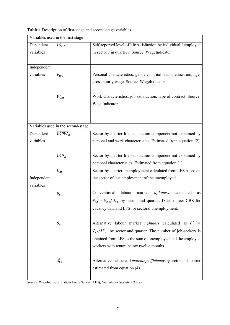|  | Table 1 Description of first-stage and second-stage variables |
|--|---------------------------------------------------------------|
|  |                                                               |

| Variables used in the first stage |                                    |                                                                              |  |  |  |
|-----------------------------------|------------------------------------|------------------------------------------------------------------------------|--|--|--|
| Dependent                         | $LS_{ist}$                         | Self-reported level of life satisfaction by individual i employed            |  |  |  |
| variables                         |                                    | in sector $s$ in quarter $t$ . Source: WageIndicator                         |  |  |  |
|                                   |                                    |                                                                              |  |  |  |
| Independent                       |                                    |                                                                              |  |  |  |
| variables                         | $P_{ist}$                          | Personal characteristics: gender, marital status, education, age,            |  |  |  |
|                                   |                                    | gross hourly wage. Source: WageIndicator                                     |  |  |  |
|                                   |                                    |                                                                              |  |  |  |
|                                   | $W_{\text{ist}}$                   | Work characteristics: job satisfaction, type of contract. Source:            |  |  |  |
|                                   |                                    | WageIndicator                                                                |  |  |  |
|                                   |                                    |                                                                              |  |  |  |
|                                   |                                    |                                                                              |  |  |  |
|                                   | Variables used in the second-stage |                                                                              |  |  |  |
| Dependent                         | $LSPW_{st}$                        | Sector-by-quarter life satisfaction component not explained by               |  |  |  |
| variables                         |                                    | personal and work characteristics. Estimated from equation (2)               |  |  |  |
|                                   |                                    |                                                                              |  |  |  |
|                                   | $\overline{LSP}_{st}$              | Sector-by-quarter life satisfaction component not explained by               |  |  |  |
|                                   |                                    | personal characteristics. Estimated from equation (1)                        |  |  |  |
|                                   | $U_{st}$                           | Sector-by-quarter unemployment calculated from LFS based on                  |  |  |  |
| Independent                       |                                    | the sector of last employment of the unemployed.                             |  |  |  |
| variables                         |                                    |                                                                              |  |  |  |
|                                   | $\theta_{s,t}$                     | Conventional<br>labour<br>market<br>tightness<br>calculated<br>as            |  |  |  |
|                                   |                                    | $\theta_{s,t} = V_{s,t}/U_{s,t}$ by sector and quarter. Data source: CBS for |  |  |  |
|                                   |                                    | vacancy data and LFS for sectoral unemployment.                              |  |  |  |
|                                   |                                    |                                                                              |  |  |  |
|                                   | $\theta'_{s,t}$                    | Alternative labour market <i>tightness</i> calculated as $\theta'_{s,t}$ =   |  |  |  |
|                                   |                                    | $V_{s,t}/JS_{s,t}$ by sector and quarter. The number of job-seekers is       |  |  |  |
|                                   |                                    | obtained from LFS as the sum of unemployed and the employed                  |  |  |  |
|                                   |                                    | workers with tenure below twelve months.                                     |  |  |  |
|                                   |                                    |                                                                              |  |  |  |
|                                   | $\lambda'_{s,t}$                   | Alternative measure of <i>matching efficiency</i> by sector and quarter      |  |  |  |
|                                   |                                    | estimated from equation (4).                                                 |  |  |  |
|                                   |                                    |                                                                              |  |  |  |

Source: WageIndicator, Labour Force Survey (LFS), Netherlands Statistics (CBS)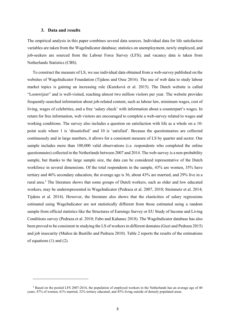#### 3. Data and results

The empirical analysis in this paper combines several data sources. Individual data for life satisfaction variables are taken from the WageIndicator database; statistics on unemployment, newly employed, and job-seekers are sourced from the Labour Force Survey (LFS); and vacancy data is taken from Netherlands Statistics (CBS).

To construct the measure of LS, we use individual data obtained from a web-survey published on the websites of WageIndicator Foundation (Tijdens and Osse 2016). The use of web data to study labour market topics is gaining an increasing role (Kureková et al. 2015). The Dutch website is called "Loonwijzer" and is well-visited, reaching almost two million visitors per year. The website provides frequently-searched information about job-related content, such as labour law, minimum wages, cost of living, wages of celebrities, and a free 'salary check' with information about a counterpart's wages. In return for free information, web visitors are encouraged to complete a web-survey related to wages and working conditions. The survey also includes a question on satisfaction with life as a whole on a 10 point scale where 1 is 'dissatisfied' and 10 is 'satisfied'. Because the questionnaires are collected continuously and in large numbers, it allows for a consistent measure of LS by quarter and sector. Our sample includes more than 100,000 valid observations (i.e. respondents who completed the online questionnaire) collected in the Netherlands between 2007 and 2014. The web-survey is a non-probability sample, but thanks to the large sample size, the data can be considered representative of the Dutch workforce in several dimensions. Of the total respondents in the sample, 43% are women, 35% have tertiary and 46% secondary education, the average age is 36, about 43% are married, and 29% live in a rural area.<sup>3</sup> The literature shows that some groups of Dutch workers, such as older and low educated workers, may be underrepresented in WageIndicator (Pedraza et al. 2007, 2010; Steinmetz et al. 2014; Tijdens et al. 2014). However, the literature also shows that the elasticities of salary regressions estimated using WageIndicator are not statistically different from those estimated using a random sample from official statistics like the Structures of Earnings Survey or EU Study of Income and Living Conditions survey (Pedraza et al. 2010; Fabo and Kahanec 2018). The WageIndicator database has also been proved to be consistent in studying the LS of workers in different domains (Guzi and Pedraza 2015) and job insecurity (Muñoz de Bustillo and Pedraza 2010). Table 2 reports the results of the estimations of equations (1) and (2).

<sup>&</sup>lt;sup>3</sup> Based on the pooled LFS 2007-2014, the population of employed workers in the Netherlands has an average age of 40 years, 47% of women, 61% married, 32% tertiary educated, and 45% living outside of densely populated areas.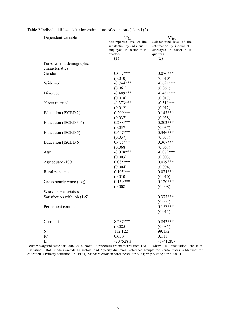| Dependent variable          | $LS_{ist}$                             | $LS_{ist}$                               |
|-----------------------------|----------------------------------------|------------------------------------------|
|                             | Self-reported level of life            | Self-reported level of life              |
|                             | satisfaction by individual $i$         | satisfaction by individual $i$           |
|                             | employed in sector s in<br>quarter $t$ | employed in sector $s$ in<br>quarter $t$ |
|                             | (1)                                    | (2)                                      |
| Personal and demographic    |                                        |                                          |
| characteristics             |                                        |                                          |
| Gender                      | $0.037***$                             | $0.076***$                               |
|                             | (0.010)                                | (0.010)                                  |
| Widowed                     | $-0.744***$                            | $-0.691***$                              |
|                             | (0.061)                                | (0.061)                                  |
| Divorced                    | $-0.489***$                            | $-0.451***$                              |
|                             | (0.018)                                | (0.017)                                  |
| Never married               | $-0.373***$                            | $-0.311***$                              |
|                             | (0.012)                                | (0.012)                                  |
| Education (ISCED 2)         | $0.209***$                             | $0.147***$                               |
|                             | (0.037)                                | (0.038)                                  |
| Education (ISCED 3-4)       | $0.288***$                             | $0.202***$                               |
|                             | (0.037)                                | (0.037)                                  |
| Education (ISCED 5)         | $0.447***$                             | $0.346***$                               |
|                             | (0.037)                                | (0.037)                                  |
| Education (ISCED 6)         | $0.475***$                             | $0.367***$                               |
|                             | (0.068)                                | (0.067)                                  |
| Age                         | $-0.078***$                            | $-0.072***$                              |
|                             | (0.003)                                | (0.003)                                  |
| Age square $/100$           | $0.085***$                             | $0.079***$                               |
|                             | (0.004)                                | (0.004)                                  |
| Rural residence             | $0.105***$                             | $0.074***$                               |
|                             | (0.010)                                | (0.010)                                  |
| Gross hourly wage (log)     | $0.169***$                             | $0.120***$                               |
|                             | (0.008)                                | (0.008)                                  |
| Work characteristics        |                                        |                                          |
| Satisfaction with job (1-5) |                                        | $0.377***$                               |
|                             |                                        | (0.004)                                  |
| Permanent contract          |                                        | $0.157***$                               |
|                             |                                        | (0.011)                                  |
|                             |                                        |                                          |
| Constant                    | 8.237***                               | $6.842***$                               |
|                             | (0.085)                                | (0.085)                                  |
| ${\bf N}$                   | 112,122                                | 99,152                                   |
| $R^2$                       | 0.030                                  | 0.111                                    |
| L1                          | $-207528.3$                            | $-174128.7$                              |

Table 2 Individual life-satisfaction estimations of equations (1) and (2)

Source: WageIndicator data 2007-2014. Note: LS responses are measured from 1 to 10, where 1 is ''dissatisfied'' and 10 is ''satisfied''. Both models include 14 sectoral and 7 yearly dummies. Reference groups: for marital status is Married; for education is Primary education (ISCED 1). Standard errors in parentheses. \*  $p < 0.1$ ; \*\*  $p < 0.05$ ; \*\*\*  $p < 0.01$ .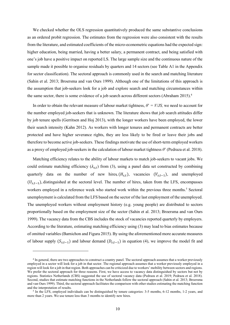We checked whether the OLS regression quantitatively produced the same substantive conclusions as an ordered probit regression. The estimates from the regression were also consistent with the results from the literature, and estimated coefficients of the micro-econometric equations had the expected sign: higher education, being married, having a better salary, a permanent contract, and being satisfied with one's job have a positive impact on reported LS. The large sample size and the continuous nature of the sample made it possible to organise residuals by quarters and 14 sectors (see Table A1 in the Appendix for sector classification). The sectoral approach is commonly used in the search and matching literature (Sahin et al. 2013; Broersma and van Ours 1999). Although one of the limitations of this approach is the assumption that job-seekers look for a job and explore search and matching circumstances within the same sector, there is some evidence of a job search across different sectors (Abraham 2015).<sup>4</sup>

In order to obtain the relevant measure of labour market tightness,  $\theta' = V/JS$ , we need to account for the number employed job-seekers that is unknown. The literature shows that job search attitudes differ by job tenure spells (Gerritsen and Hoj 2013), with the longer workers have been employed, the lower their search intensity (Kahn 2012). As workers with longer tenures and permanent contracts are better protected and have higher severance rights, they are less likely to be fired or leave their jobs and therefore to become active job-seekers. These findings motivate the use of short-term employed workers as a proxy of employed job-seekers in the calculation of labour market tightness  $\theta$ ' (Pedraza et al. 2018).

Matching efficiency relates to the ability of labour markets to match job-seekers to vacant jobs. We could estimate matching efficiency  $(\lambda_{s,t})$  from (3), using a panel data set constructed by combining quarterly data on the number of new hires,  $(H_{s,t})$ , vacancies  $(V_{s,t-1})$ , and unemployed  $(U_{s,t-1})$ , distinguished at the sectoral level. The number of hires, taken from the LFS, encompasses workers employed in a reference week who started work within the previous three months.<sup>5</sup> Sectoral unemployment is calculated from the LFS based on the sector of the last employment of the unemployed. The unemployed workers without employment history (e.g. young people) are distributed to sectors proportionally based on the employment size of the sector (Sahin et al. 2013; Broersma and van Ours 1999). The vacancy data from the CBS includes the stock of vacancies reported quarterly by employers. According to the literature, estimating matching efficiency using (3) may lead to bias estimates because of omitted variables (Barnichon and Figura 2015). By using the aforementioned more accurate measures of labour supply  $(S_{s,t-1})$  and labour demand  $(D_{s,t-1})$  in equation (4), we improve the model fit and

<sup>&</sup>lt;sup>4</sup> In general, there are two approaches to construct a country panel. The sectoral approach assumes that a worker previously employed in a sector will look for a job in that sector. The regional approach assumes that a worker previously employed in a region will look for a job in that region. Both approaches can be criticized due to workers' mobility between sectors and regions. We prefer the sectoral approach for three reasons. First, we have access to vacancy data distinguished by sectors but not by regions. Statistics Netherlands (CBS) suggested the use of sectoral vacancy data (Pedraza et al. 2019; Pedraza et al. 2018). Second, studies that estimate matching functions in the Netherlands follow the sectoral approach (Sahin et al. 2013; Broersma and van Ours 1999). Third, the sectoral approach facilitates the comparison with other studies estimating the matching function and the interpretation of results.

<sup>&</sup>lt;sup>5</sup> In the LFS, employed individuals can be distinguished by tenure categories: 3-5 months, 6-12 months, 1-2 years, and more than 2 years. We use tenure less than 3 months to identify new hires.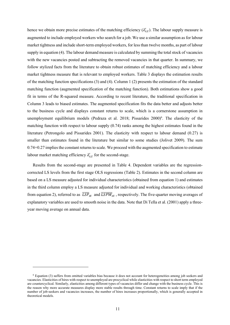hence we obtain more precise estimates of the matching efficiency  $(\lambda'_{s,t})$ . The labour supply measure is augmented to include employed workers who search for a job. We use a similar assumption as for labour market tightness and include short-term employed workers, for less than twelve months, as part of labour supply in equation (4). The labour demand measure is calculated by summing the total stock of vacancies with the new vacancies posted and subtracting the removed vacancies in that quarter. In summary, we follow stylized facts from the literature to obtain robust estimates of matching efficiency and a labour market tightness measure that is relevant to employed workers. Table 3 displays the estimation results of the matching function specifications (3) and (4). Column 1 (2) presents the estimation of the standard matching function (augmented specification of the matching function). Both estimations show a good fit in terms of the R-squared measure. According to recent literature, the traditional specification in Column 3 leads to biased estimates. The augmented specification fits the data better and adjusts better to the business cycle and displays constant returns to scale, which is a cornerstone assumption in unemployment equilibrium models (Pedraza et al. 2018; Pissarides 2000)<sup>6</sup>. The elasticity of the matching function with respect to labour supply (0.74) ranks among the highest estimates found in the literature (Petrongolo and Pissarides 2001). The elasticity with respect to labour demand (0.27) is smaller than estimates found in the literature but similar to some studies (Jolivet 2009). The sum 0.74+0.27 implies the constant returns to scale. We proceed with the augmented specification to estimate labour market matching efficiency  $\lambda'_{s,t}$  for the second-stage.

Results from the second-stage are presented in Table 4. Dependent variables are the regressioncorrected LS levels from the first stage OLS regressions (Table 2). Estimates in the second column are based on a LS measure adjusted for individual characteristics (obtained from equation 1) and estimates in the third column employ a LS measure adjusted for individual and working characteristics (obtained from equation 2), referred to as  $\overline{LSP}_{st}$  and  $\overline{LSPW}_{st}$ , respectively. The five-quarter moving averages of explanatory variables are used to smooth noise in the data. Note that Di Tella et al. (2001) apply a threeyear moving average on annual data.

<sup>&</sup>lt;sup>6</sup> Equation (3) suffers from omitted variables bias because it does not account for heterogeneities among job seekers and vacancies. Elasticities of hires with respect to unemployed are procyclical while elasticities with respect to short term employed are countercyclical. Similarly, elasticities among different types of vacancies differ and change with the business cycle. This is the reason why more accurate measures display more stable results through time. Constant returns to scale imply that if the number of job-seekers and vacancies increases, the number of hires increases proportionally, which is generally accepted in theoretical models.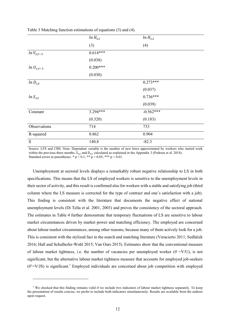|                | $ln H_{s,t}$ | $ln H_{s,t}$ |
|----------------|--------------|--------------|
|                | (3)          | (4)          |
| $ln V_{s,t-1}$ | $0.614***$   |              |
|                | (0.038)      |              |
| $ln U_{s,t-1}$ | $0.200***$   |              |
|                | (0.030)      |              |
| $ln D_{s,t}$   |              | $0.273***$   |
|                |              | (0.037)      |
| $ln S_{s,t}$   |              | $0.736***$   |
|                |              | (0.039)      |
| Constant       | 3.294***     | $-0.562***$  |
|                | (0.320)      | (0.183)      |
| Observations   | 714          | 733          |
| R-squared      | 0.862        | 0.904        |
| $\rm ll$       | 140.8        | $-82.3$      |

Table 3 Matching function estimations of equations (3) and (4).

Source: LFS and CBS. Note: Dependent variable is the number of new hires approximated by workers who started work within the previous three months.  $S_{s,t}$  and  $D_{s,t}$  calculated as explained in the Appendix 3 (Pedraza et al. 2018). Standard errors in parentheses. \*  $p < 0.1$ ; \*\*  $p < 0.05$ ; \*\*\*  $p < 0.01$ .

Unemployment at sectoral levels displays a remarkably robust negative relationship to LS in both specifications. This means that the LS of employed workers is sensitive to the unemployment levels in their sector of activity, and this result is confirmed also for workers with a stable and satisfying job (third column where the LS measure is corrected for the type of contract and one's satisfaction with a job). This finding is consistent with the literature that documents the negative effect of national unemployment levels (Di Tella et al. 2001, 2003) and proves the consistency of the sectoral approach. The estimates in Table 4 further demonstrate that temporary fluctuations of LS are sensitive to labour market circumstances driven by market power and matching efficiency. The employed are concerned about labour market circumstances, among other reasons, because many of them actively look for a job. This is consistent with the stylized fact in the search and matching literature (Veracierto 2011; Sedláček 2016; Hall and Schulhofer-Wohl 2015; Van Ours 2015). Estimates show that the conventional measure of labour market tightness, i.e. the number of vacancies per unemployed worker ( $\theta = V/U$ ), is not significant, but the alternative labour market tightness measure that accounts for employed job-seekers  $(\theta$ <sup>-</sup>V/JS) is significant.<sup>7</sup> Employed individuals are concerned about job competition with employed

 $\frac{7}{10}$  We checked that this finding remains valid if we include two indicators of labour market tightness separately. To keep the presentation of results concise, we prefer to include both indicators simultaneously. Results are available from the authors upon request.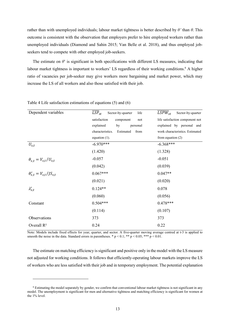rather than with unemployed individuals; labour market tightness is better described by  $\theta$ ' than  $\theta$ . This outcome is consistent with the observation that employers prefer to hire employed workers rather than unemployed individuals (Diamond and Sahin 2015; Van Belle et al. 2018), and thus employed jobseekers tend to compete with other employed job-seekers.

The estimate on  $\theta$  is significant in both specifications with different LS measures, indicating that labour market tightness is important to workers' LS regardless of their working conditions.<sup>8</sup> A higher ratio of vacancies per job-seeker may give workers more bargaining and market power, which may increase the LS of all workers and also those satisfied with their job.

| Dependent variables                | $\overline{LSP}_{st}$<br>Sector-by-quarter<br>life | $LSPW_{st}$<br>Sector-by-quarter |  |
|------------------------------------|----------------------------------------------------|----------------------------------|--|
|                                    | satisfaction<br>component<br>not                   | life satisfaction component not  |  |
|                                    | explained<br>by<br>personal                        | explained by personal and        |  |
|                                    | characteristics.<br>Estimated<br>from              | work characteristics. Estimated  |  |
|                                    | equation $(1)$ .                                   | from equation $(2)$              |  |
| $U_{s,t}$                          | $-6.970***$                                        | $-6.368***$                      |  |
|                                    | (1.420)                                            | (1.328)                          |  |
| $\theta_{s,t} = V_{s,t}/U_{s,t}$   | $-0.057$                                           | $-0.051$                         |  |
|                                    | (0.042)                                            | (0.039)                          |  |
| $\theta'_{s,t} = V_{s,t}/JS_{s,t}$ | $0.067***$                                         | $0.047**$                        |  |
|                                    | (0.021)                                            | (0.020)                          |  |
| $\lambda'_{s,t}$                   | $0.124**$                                          | 0.078                            |  |
|                                    | (0.060)                                            | (0.056)                          |  |
| Constant                           | $0.504***$                                         | $0.478***$                       |  |
|                                    | (0.114)                                            | (0.107)                          |  |
| Observations                       | 373                                                | 373                              |  |
| Overall $R^2$                      | 0.24                                               | 0.22                             |  |

Table 4 Life satisfaction estimations of equations (5) and (6)

Note: Models include fixed effects for year, quarter, and sector. A five-quarter moving average centred at t-3 is applied to smooth the noise in the data. Standard errors in parentheses. \*  $p < 0.1$ ; \*\*  $p < 0.05$ ; \*\*\*  $p < 0.01$ .

The estimate on matching efficiency is significant and positive only in the model with the LS measure not adjusted for working conditions. It follows that efficiently-operating labour markets improve the LS of workers who are less satisfied with their job and in temporary employment. The potential explanation

<sup>&</sup>lt;sup>8</sup> Estimating the model separately by gender, we confirm that conventional labour market tightness is not significant in any model. The unemployment is significant for men and alternative tightness and matching efficiency is significant for women at the 1% level.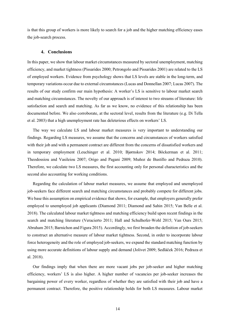is that this group of workers is more likely to search for a job and the higher matching efficiency eases the job-search process.

#### 4. Conclusions

In this paper, we show that labour market circumstances measured by sectoral unemployment, matching efficiency, and market tightness (Pissarides 2000; Petrongolo and Pissarides 2001) are related to the LS of employed workers. Evidence from psychology shows that LS levels are stable in the long-term, and temporary variations occur due to external circumstances (Lucas and Donnellan 2007; Lucas 2007). The results of our study confirm our main hypothesis: A worker's LS is sensitive to labour market search and matching circumstances. The novelty of our approach is of interest to two streams of literature: life satisfaction and search and matching. As far as we know, no evidence of this relationship has been documented before. We also corroborate, at the sectoral level, results from the literature (e.g. Di Tella et al. 2003) that a high unemployment rate has deleterious effects on workers' LS.

The way we calculate LS and labour market measures is very important to understanding our findings. Regarding LS measures, we assume that the concerns and circumstances of workers satisfied with their job and with a permanent contract are different from the concerns of dissatisfied workers and in temporary employment (Leuchinger et al. 2010; Bjørnskov 2014; Böckerman et al. 2011; Theodossiou and Vasileiou 2007; Origo and Pagani 2009; Muñoz de Bustillo and Pedraza 2010). Therefore, we calculate two LS measures, the first accounting only for personal characteristics and the second also accounting for working conditions.

Regarding the calculation of labour market measures, we assume that employed and unemployed job-seekers face different search and matching circumstances and probably compete for different jobs. We base this assumption on empirical evidence that shows, for example, that employers generally prefer employed to unemployed job applicants (Diamond 2011; Diamond and Sahin 2015; Van Belle et al. 2018). The calculated labour market tightness and matching efficiency build upon recent findings in the search and matching literature (Veracierto 2011; Hall and Schulhofer-Wohl 2015; Van Ours 2015; Abraham 2015; Barnichon and Figura 2015). Accordingly, we first broaden the definition of job-seekers to construct an alternative measure of labour market tightness. Second, in order to incorporate labour force heterogeneity and the role of employed job-seekers, we expand the standard matching function by using more accurate definitions of labour supply and demand (Jolivet 2009; Sedláček 2016; Pedraza et al. 2018).

Our findings imply that when there are more vacant jobs per job-seeker and higher matching efficiency, workers' LS is also higher. A higher number of vacancies per job-seeker increases the bargaining power of every worker, regardless of whether they are satisfied with their job and have a permanent contract. Therefore, the positive relationship holds for both LS measures. Labour market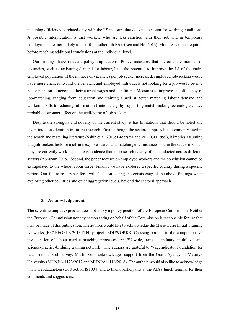matching efficiency is related only with the LS measure that does not account for working conditions. A possible interpretation is that workers who are less satisfied with their job and in temporary employment are more likely to look for another job (Gerritsen and Høj 2013). More research is required before reaching additional conclusions at the individual level.

Our findings have relevant policy implications. Policy measures that increase the number of vacancies, such as activating demand for labour, have the potential to improve the LS of the entire employed population. If the number of vacancies per job seeker increased, employed job-seekers would have more chances to find their match, and employed individuals not looking for a job would be in a better position to negotiate their current wages and conditions. Measures to improve the efficiency of job-matching, ranging from education and training aimed at better matching labour demand and workers' skills to reducing information frictions, e.g. by supporting match-making technologies, have probably a stronger effect on the well-being of job seekers.

Despite the strengths and novelty of the current study, it has limitations that should be noted and taken into consideration in future research. First, although the sectoral approach is commonly used in the search and matching literature (Sahin et al. 2013; Broersma and van Ours 1999), it implies assuming that job-seekers look for a job and explore search and matching circumstances within the sector in which they are currently working. There is evidence that a job-search is very often conducted across different sectors (Abraham 2015). Second, the paper focuses on employed workers and the conclusion cannot be extrapolated to the whole labour force. Finally, we have explored a specific country during a specific period. Our future research efforts will focus on testing the consistency of the above findings when exploring other countries and other aggregation levels, beyond the sectoral approach.

#### 5. Acknowledgement

The scientific output expressed does not imply a policy position of the European Commission. Neither the European Commission nor any person acting on behalf of the Commission is responsible for use that may be made of this publication. The authors would like to acknowledge the Marie Curie Initial Training Networks (FP7-PEOPLE-2013-ITN) project 'EDUWORKS: Crossing borders in the comprehensive investigation of labour market matching processes: An EU-wide, trans-disciplinary, multilevel and science-practice-bridging training network'. The authors are grateful to WageIndicator Foundation for data from its web-survey. Martin Guzi acknowledges support from the Grant Agency of Masaryk University (MUNI/A/1123/2017 and MUNI/A/1118/2018). The authors would also like to acknowledge www.webdatanet.eu (Cost action IS1004) and to thank participants at the AIAS lunch seminar for their comments and suggestions.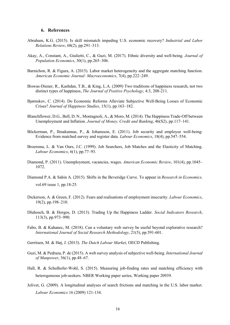#### 6. References

- Abraham, K.G. (2015). Is skill mismatch impeding U.S. economic recovery? Industrial and Labor Relations Review, 68(2), pp.291–313.
- Akay, A., Constant, A., Giulietti, C., & Guzi, M. (2017). Ethnic diversity and well-being. Journal of Population Economics, 30(1), pp.265–306.
- Barnichon, R. & Figura, A. (2015). Labor market heterogeneity and the aggregate matching function. American Economic Journal: Macroeconomics, 7(4), pp.222–249.
- Biswas-Diener, R., Kashdan, T.B., & King, L.A. (2009) Two traditions of happiness research, not two distinct types of happiness, The Journal of Positive Psychology, 4:3, 208-211.
- Bjørnskov, C. (2014). Do Economic Reforms Alleviate Subjective Well-Being Losses of Economic Crises? Journal of Happiness Studies, 15(1), pp.163–182.
- Blanchflower, D.G., Bell, D. N., Montagnoli, A., & Moro, M. (2014). The Happiness Trade-Off between Unemployment and Inflation. Journal of Money, Credit and Banking, 46(S2), pp.117–141.
- Böckerman, P., Ilmakunnas, P., & Johansson, E. (2011). Job security and employee well-being: Evidence from matched survey and register data. Labour Economics, 18(4), pp.547–554.
- Broersma, L. & Van Ours, J.C. (1999). Job Searchers, Job Matches and the Elasticity of Matching. Labour Economics, 6(1), pp.77–93.
- Diamond, P. (2011). Unemployment, vacancies, wages. American Economic Review, 101(4), pp.1045– 1072.
- Diamond P.A. & Sahin A. (2015). Shifts in the Beveridge Curve. To appear in Research in Economics, vol.69 issue 1, pp.18-25.
- Dickerson, A. & Green, F. (2012). Fears and realisations of employment insecurity. *Labour Economics*, 19(2), pp.198–210.
- Dluhosch, B. & Horgos, D. (2013). Trading Up the Happiness Ladder. Social Indicators Research, 113(3), pp.973–990.
- Fabo, B. & Kahanec, M. (2018). Can a voluntary web survey be useful beyond explorative research? International Journal of Social Research Methodology, 21(5), pp.591-601.
- Gerritsen, M. & Høj, J. (2013). The Dutch Labour Market, OECD Publishing.
- Guzi, M. & Pedraza, P. de (2015). A web survey analysis of subjective well-being. International Journal of Manpower, 36(1), pp.48–67.
- Hall, R. & Schulhofer-Wohl, S. (2015). Measuring job-finding rates and matching efficiency with heterogeneous job-seekers. NBER Working paper series, Working paper 20939.
- Jolivet, G. (2009). A longitudinal analyses of search frictions and matching in the U.S. labor market. Labour Economics 16 (2009) 121-134.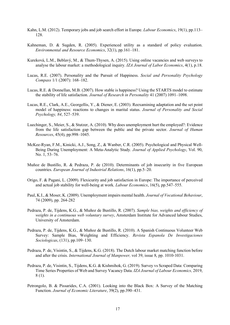- Kahn, L.M. (2012). Temporary jobs and job search effort in Europe. Labour Economics, 19(1), pp.113– 128.
- Kahneman, D. & Sugden, R. (2005). Experienced utility as a standard of policy evaluation. Environmental and Resource Economics, 32(1), pp.161–181.
- Kureková, L.M., Beblavý, M., & Thum-Thysen, A. (2015). Using online vacancies and web surveys to analyse the labour market: a methodological inquiry. IZA Journal of Labor Economics, 4(1), p.18.
- Lucas, R.E. (2007). Personality and the Pursuit of Happiness. Social and Personality Psychology Compass 1/1 (2007): 168–182.
- Lucas, R.E. & Donnellan, M.B. (2007). How stable is happiness? Using the STARTS model to estimate the stability of life satisfaction. Journal of Research in Personality 41 (2007) 1091-1098.
- Lucas, R.E., Clark, A.E., Georgellis, Y., & Diener, E. (2003). Reexamining adaptation and the set point model of happiness: reactions to changes in marital status. Journal of Personality and Social Psychology, 84, 527–539.
- Luechinger, S., Meier, S., & Stutzer, A. (2010). Why does unemployment hurt the employed?: Evidence from the life satisfaction gap between the public and the private sector. Journal of Human Resources, 45(4), pp.998–1045.
- McKee-Ryan, F.M., Kinicki, A.J., Song, Z., & Wanber, C.R. (2005). Psychological and Physical Well-Being During Unemployment: A Meta-Analytic Study. Journal of Applied Psychology, Vol. 90, No. 1, 53–76.
- Muñoz de Bustillo, R. & Pedraza, P. de (2010). Determinants of job insecurity in five European countries. European Journal of Industrial Relations, 16(1), pp.5–20.
- Origo, F. & Pagani, L. (2009). Flexicurity and job satisfaction in Europe: The importance of perceived and actual job stability for well-being at work. Labour Economics, 16(5), pp.547–555.
- Paul, K.I., & Moser, K. (2009). Unemployment impairs mental health. Journal of Vocational Behaviour, 74 (2009), pp. 264-282
- Pedraza, P. de, Tijdens, K.G., & Muñoz de Bustillo, R. (2007). Sample bias, weights and efficiency of weights in a continuous web voluntary survey, Amsterdam Institute for Advanced labour Studies, University of Amsterdam.
- Pedraza, P. de, Tijdens, K.G., & Muñoz de Bustillo, R. (2010). A Spanish Continuous Volunteer Web Survey: Sample Bias, Weighting and Efficiency. Revista Espanola De Investigaciones Sociologicas, (131), pp.109–130.
- Pedraza, P. de, Visintin, S., & Tijdens, K.G. (2018). The Dutch labour market matching function before and after the crisis. International Journal of Manpower, vol 39, issue 8, pp. 1010-1031.
- Pedraza, P. de, Visintin, S., Tijdens, K.G. & Kishmihok, G. (2019). Survey vs Scraped Data: Comparing Time Series Properties of Web and Survey Vacancy Data. IZA Journal of Labour Economics, 2019, 8 (1).
- Petrongolo, B. & Pissarides, C.A. (2001). Looking into the Black Box: A Survey of the Matching Function. Journal of Economic Literature, 39(2), pp.390–431.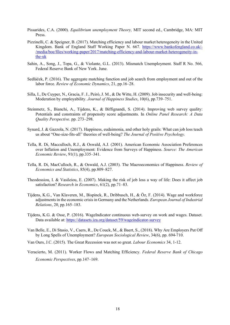- Pissarides, C.A. (2000). Equilibrium unemployment Theory, MIT second ed., Cambridge, MA: MIT Press.
- Pizzinelli, C. & Speigner, B. (2017). Matching efficiency and labour market heterogeneity in the United Kingdom. Bank of England Staff Working Paper N. 667. https://www.bankofengland.co.uk/- /media/boe/files/working-paper/2017/matching-efficiency-and-labour-market-heterogeneity-inthe-uk
- Sahin, A., Song, J., Topa, G., & Violante, G.L. (2013). Mismatch Unemployment. Staff R No. 566, Federal Reserve Bank of New York. June.
- Sedláček, P. (2016). The aggregate matching function and job search from employment and out of the labor force. Review of Economic Dynamics, 21, pp.16–28.
- Silla, I., De Cuyper, N., Gracia, F. J., Peiró, J. M., & De Witte, H. (2009). Job insecurity and well-being: Moderation by employability. Journal of Happiness Studies, 10(6), pp.739–751.
- Steinmetz, S., Bianchi, A., Tijdens, K., & Biffignandi, S. (2014). Improving web survey quality: Potentials and constraints of propensity score adjustments. In Online Panel Research: A Data Quality Perspective. pp. 273–298.
- Synard, J. & Gazzola, N. (2017). Happiness, eudaimonia, and other holy grails: What can job loss teach us about "One-size-fits-all" theories of well-being? The Journal of Positive Psychology.
- Tella, R. Di, Macculloch, R.J., & Oswald, A.J. (2001). American Economic Association Preferences over Inflation and Unemployment: Evidence from Surveys of Happiness. Source: The American Economic Review, 91(1), pp.335–341.
- Tella, R. Di, MacCulloch, R., & Oswald, A.J. (2003). The Macroeconomics of Happiness. Review of Economics and Statistics, 85(4), pp.809–827.
- Theodossiou, I. & Vasileiou, E. (2007). Making the risk of job loss a way of life: Does it affect job satisfaction? Research in Economics, 61(2), pp.71–83.
- Tijdens, K.G., Van Klaveren, M., Bispinck, R., Dribbusch, H., & Öz, F. (2014). Wage and workforce adjustments in the economic crisis in Germany and the Netherlands. European Journal of Industrial Relations, 20, pp.165–183.
- Tijdens, K.G. & Osse, P. (2016). WageIndicator continuous web-survey on work and wages. Dataset. Data available at: https://datasets.iza.org/dataset/59/wageindicator-survey
- Van Belle, E., Di Stasio, V., Caers, R., De Couck, M., & Baert, S., (2018). Why Are Employers Put Off by Long Spells of Unemployment? European Sociological Review, 34(6), pp. 694-710.
- Van Ours, J.C. (2015). The Great Recession was not so great. Labour Economics 34, 1-12.
- Veracierto, M. (2011). Worker Flows and Matching Efficiency. Federal Reserve Bank of Chicago Economic Perspectives, pp.147–169.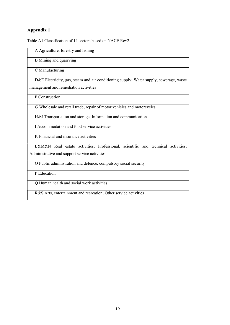#### Appendix 1

Table A1 Classification of 14 sectors based on NACE Rev2.

| A Agriculture, forestry and fishing                                                    |
|----------------------------------------------------------------------------------------|
| B Mining and quarrying                                                                 |
| C Manufacturing                                                                        |
|                                                                                        |
| D&E Electricity, gas, steam and air conditioning supply; Water supply; sewerage, waste |
| management and remediation activities                                                  |
| F Construction                                                                         |
| G Wholesale and retail trade; repair of motor vehicles and motorcycles                 |
| H&J Transportation and storage; Information and communication                          |
| I Accommodation and food service activities                                            |
| K Financial and insurance activities                                                   |
| L&M&N Real estate activities; Professional, scientific and technical activities;       |
| Administrative and support service activities                                          |
| O Public administration and defence; compulsory social security                        |
| P Education                                                                            |
| Q Human health and social work activities                                              |
| R&S Arts, entertainment and recreation; Other service activities                       |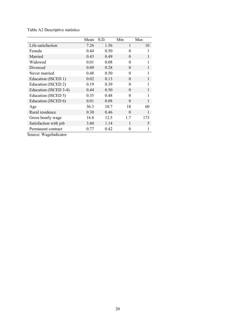|                       | Mean | S.D. | Min      | Max |
|-----------------------|------|------|----------|-----|
| Life-satisfaction     | 7.26 | 1.56 | 1        | 10  |
| Female                | 0.44 | 0.50 | $\theta$ | 1   |
| Married               | 0.43 | 0.49 | $\Omega$ |     |
| Widowed               | 0.01 | 0.08 | 0        |     |
| Divorced              | 0.09 | 0.28 | $\theta$ | 1   |
| Never married         | 0.48 | 0.50 | $\theta$ |     |
| Education (ISCED 1)   | 0.02 | 0.13 | $\theta$ | 1   |
| Education (ISCED 2)   | 0.19 | 0.39 | $\Omega$ |     |
| Education (ISCED 3-4) | 0.44 | 0.50 | $\theta$ | 1   |
| Education (ISCED 5)   | 0.35 | 0.48 | $\theta$ |     |
| Education (ISCED 6)   | 0.01 | 0.08 | $\Omega$ |     |
| Age                   | 36.3 | 10.7 | 18       | 60  |
| Rural residence       | 0.30 | 0.46 | $\Omega$ | 1   |
| Gross hourly wage     | 16.8 | 12.5 | 1.7      | 173 |
| Satisfaction with job | 3.60 | 1.14 | 1        | 5   |
| Permanent contract    | 0.77 | 0.42 | 0        |     |

Table A2 Descriptive statistics

Source: WageIndicator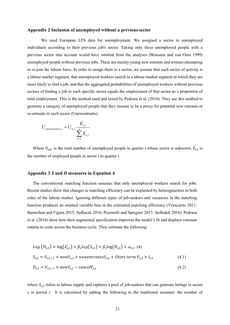#### Appendix 2 Inclusion of unemployed without a previous sector

We used European LFS data for unemployment. We assigned a sector to unemployed individuals according to their previous job's sector. Taking only these unemployed people with a previous sector into account would have omitted from the analyses (Broesma and van Ours 1999) unemployed people without previous jobs. These are mainly young new entrants and women attempting to re-join the labour force. In order to assign them to a sector, we assume that each sector of activity is a labour market segment, that unemployed workers search in a labour market segment in which they are more likely to find a job, and that the aggregated probabilities of unemployed workers without previous sectors of finding a job in each specific sector equals the employment of that sector as a proportion of total employment. This is the method used and tested by Pedraza et al. (2018). They use this method to generate a category of unemployed people that they assume to be a proxy for potential new entrants or re-entrants in each sector (Unewentrants).

$$
U_{\text{newentrantsi},t} = U_{u,t} \frac{E_{i,t}}{\sum_{i=1}^{n} E_{i,t}}
$$

Where  $U_{u,t}$  is the total number of unemployed people in quarter t whose sector is unknown.  $E_{i,t}$  is the number of employed people in sector i in quarter t.

#### Appendix 3 S and D measures in Equation 4

The conventional matching function assumes that only unemployed workers search for jobs. Recent studies show that changes in matching efficiency can be explained by heterogeneities in both sides of the labour market. Ignoring different types of job-seekers and vacancies in the matching function produces an omitted variable bias in the estimated matching efficiency (Veracierto 2011; Barnichon and Figura 2015; Sedlacek 2016; Pizzinelli and Speigner 2017; Sedladek 2016). Pedraza et al. (2018) show how their augmented specification improves the model's fit and displays constant returns to scale across the business cycle. They estimate the following:

$$
Log (Hs,t) = log(\lambda's,t) + \beta_1 log(Ss,t) + \beta_2 log(Ds,t) + \omegas,t (4)
$$
  
\n
$$
Ss,t = Us,t-1 + newUs,t + newentrantsUs,t + Short term Es,t + Is,t (4.1)
$$
  
\n
$$
Ds,t = Vs,t-1 + newVs,t - cancelVs,t (4.2)
$$

where  $S_{s,t}$  refers to labour supply and captures a pool of job-seekers that can generate hirings in sector s in period  $t$ . It is calculated by adding the following to the traditional measure: the number of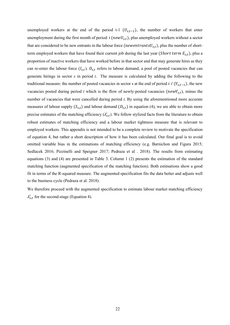unemployed workers at the end of the period t-1  $(U_{s,t-1})$ , the number of workers that enter unemployment during the first month of period t ( $newU_{s,t}$ ), plus unemployed workers without a sector that are considered to be new entrants in the labour force (newentrants $U_{s,t}$ ), plus the number of shortterm employed workers that have found their current job during the last year (Short term  $E_{s,t}$ ), plus a proportion of inactive workers that have worked before in that sector and that may generate hires as they can re-enter the labour force  $(I_{s,t})$ .  $D_{s,t}$  refers to labour demand, a pool of posted vacancies that can generate hirings in sector  $s$  in period  $t$ . The measure is calculated by adding the following to the traditional measure: the number of posted vacancies in sector s at the end of period  $t-1$  ( $V_{s,t-1}$ ), the new vacancies posted during period t which is the flow of newly-posted vacancies ( $newV_{s,t}$ ), minus the number of vacancies that were cancelled during period t. By using the aforementioned more accurate measures of labour supply  $(S_{s,t})$  and labour demand  $(D_{s,t})$  in equation (4), we are able to obtain more precise estimates of the matching efficiency  $(\lambda'_{s,t})$ . We follow stylized facts from the literature to obtain robust estimates of matching efficiency and a labour market tightness measure that is relevant to employed workers. This appendix is not intended to be a complete review to motivate the specification of equation 4, but rather a short description of how it has been calculated. Our final goal is to avoid omitted variable bias in the estimations of matching efficiency (e.g. Barnichon and Figura 2015; Sedlacek 2016; Pizzinelli and Speigner 2017; Pedraza et al . 2018). The results from estimating equations (3) and (4) are presented in Table 3. Column 1 (2) presents the estimation of the standard matching function (augmented specification of the matching function). Both estimations show a good fit in terms of the R-squared measure. The augmented specification fits the data better and adjusts well to the business cycle (Pedraza et al. 2018).

We therefore proceed with the augmented specification to estimate labour market matching efficiency  $\lambda'_{s,t}$  for the second-stage (Equation 4).